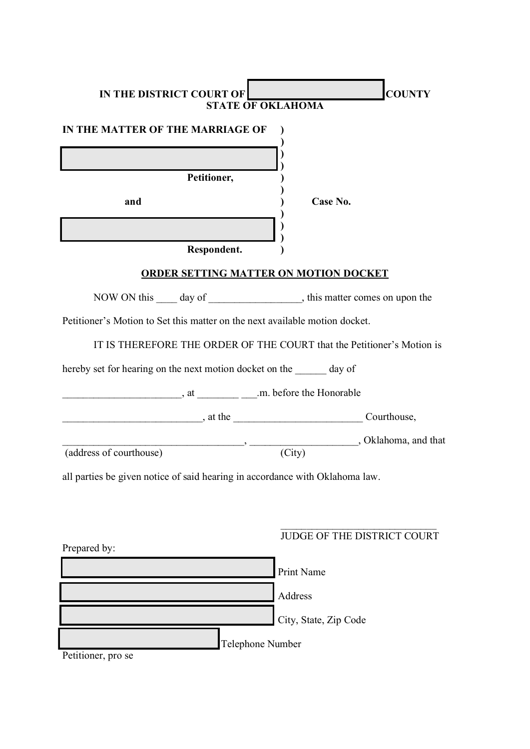| <b>IN THE DISTRICT COURT OF</b><br><b>STATE OF OKLAHOMA</b>                    | <b>COUNTY</b>                                                  |
|--------------------------------------------------------------------------------|----------------------------------------------------------------|
| IN THE MATTER OF THE MARRIAGE OF                                               |                                                                |
|                                                                                |                                                                |
| Petitioner,                                                                    |                                                                |
| and                                                                            | Case No.                                                       |
|                                                                                |                                                                |
| Respondent.                                                                    |                                                                |
| <b>ORDER SETTING MATTER ON MOTION DOCKET</b>                                   |                                                                |
| NOW ON this _____ day of ______________________, this matter comes on upon the |                                                                |
| Petitioner's Motion to Set this matter on the next available motion docket.    |                                                                |
| IT IS THEREFORE THE ORDER OF THE COURT that the Petitioner's Motion is         |                                                                |
| hereby set for hearing on the next motion docket on the day of                 |                                                                |
|                                                                                |                                                                |
| $\frac{1}{2}$ , at the $\frac{1}{2}$ at the $\frac{1}{2}$ Courthouse,          |                                                                |
|                                                                                |                                                                |
| (address of courthouse)                                                        | $\frac{1}{\sqrt{C^2 + \cdots}}$ , Oklahoma, and that<br>(City) |
| all parties be given notice of said hearing in accordance with Oklahoma law.   |                                                                |
|                                                                                |                                                                |
|                                                                                |                                                                |
|                                                                                | JUDGE OF THE DISTRICT COURT                                    |
| Prepared by:                                                                   |                                                                |
|                                                                                | Print Name                                                     |
|                                                                                | Address                                                        |
|                                                                                | City, State, Zip Code                                          |
| Telephone Number                                                               |                                                                |

Petitioner, pro se